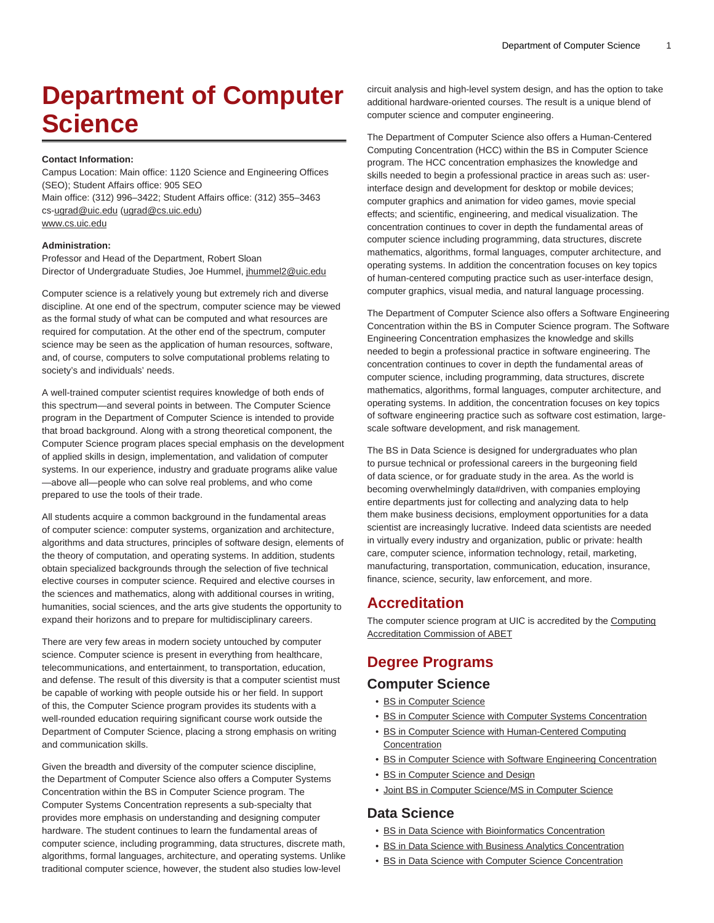# **Department of Computer Science**

#### **Contact Information:**

Campus Location: Main office: 1120 Science and Engineering Offices (SEO); Student Affairs office: 905 SEO Main office: (312) 996–3422; Student Affairs office: (312) 355–3463 cs-[ugrad@uic.edu](mailto:ugrad@cs.uic.edu) ([ugrad@cs.uic.edu\)](ugrad@cs.uic.edu) [www.cs.uic.edu](http://www.cs.uic.edu/)

#### **Administration:**

Professor and Head of the Department, Robert Sloan Director of Undergraduate Studies, Joe Hummel, [jhummel2@uic.edu](mailto:jhummel2@uic.edu)

Computer science is a relatively young but extremely rich and diverse discipline. At one end of the spectrum, computer science may be viewed as the formal study of what can be computed and what resources are required for computation. At the other end of the spectrum, computer science may be seen as the application of human resources, software, and, of course, computers to solve computational problems relating to society's and individuals' needs.

A well-trained computer scientist requires knowledge of both ends of this spectrum—and several points in between. The Computer Science program in the Department of Computer Science is intended to provide that broad background. Along with a strong theoretical component, the Computer Science program places special emphasis on the development of applied skills in design, implementation, and validation of computer systems. In our experience, industry and graduate programs alike value —above all—people who can solve real problems, and who come prepared to use the tools of their trade.

All students acquire a common background in the fundamental areas of computer science: computer systems, organization and architecture, algorithms and data structures, principles of software design, elements of the theory of computation, and operating systems. In addition, students obtain specialized backgrounds through the selection of five technical elective courses in computer science. Required and elective courses in the sciences and mathematics, along with additional courses in writing, humanities, social sciences, and the arts give students the opportunity to expand their horizons and to prepare for multidisciplinary careers.

There are very few areas in modern society untouched by computer science. Computer science is present in everything from healthcare, telecommunications, and entertainment, to transportation, education, and defense. The result of this diversity is that a computer scientist must be capable of working with people outside his or her field. In support of this, the Computer Science program provides its students with a well-rounded education requiring significant course work outside the Department of Computer Science, placing a strong emphasis on writing and communication skills.

Given the breadth and diversity of the computer science discipline, the Department of Computer Science also offers a Computer Systems Concentration within the BS in Computer Science program. The Computer Systems Concentration represents a sub-specialty that provides more emphasis on understanding and designing computer hardware. The student continues to learn the fundamental areas of computer science, including programming, data structures, discrete math, algorithms, formal languages, architecture, and operating systems. Unlike traditional computer science, however, the student also studies low-level

circuit analysis and high-level system design, and has the option to take additional hardware-oriented courses. The result is a unique blend of computer science and computer engineering.

The Department of Computer Science also offers a Human-Centered Computing Concentration (HCC) within the BS in Computer Science program. The HCC concentration emphasizes the knowledge and skills needed to begin a professional practice in areas such as: userinterface design and development for desktop or mobile devices; computer graphics and animation for video games, movie special effects; and scientific, engineering, and medical visualization. The concentration continues to cover in depth the fundamental areas of computer science including programming, data structures, discrete mathematics, algorithms, formal languages, computer architecture, and operating systems. In addition the concentration focuses on key topics of human-centered computing practice such as user-interface design, computer graphics, visual media, and natural language processing.

The Department of Computer Science also offers a Software Engineering Concentration within the BS in Computer Science program. The Software Engineering Concentration emphasizes the knowledge and skills needed to begin a professional practice in software engineering. The concentration continues to cover in depth the fundamental areas of computer science, including programming, data structures, discrete mathematics, algorithms, formal languages, computer architecture, and operating systems. In addition, the concentration focuses on key topics of software engineering practice such as software cost estimation, largescale software development, and risk management.

The BS in Data Science is designed for undergraduates who plan to pursue technical or professional careers in the burgeoning field of data science, or for graduate study in the area. As the world is becoming overwhelmingly data#driven, with companies employing entire departments just for collecting and analyzing data to help them make business decisions, employment opportunities for a data scientist are increasingly lucrative. Indeed data scientists are needed in virtually every industry and organization, public or private: health care, computer science, information technology, retail, marketing, manufacturing, transportation, communication, education, insurance, finance, science, security, law enforcement, and more.

## **Accreditation**

The computer science program at UIC is accredited by the [Computing](http://www.abet.org/) [Accreditation Commission of ABET](http://www.abet.org/)

# **Degree Programs**

#### **Computer Science**

- [BS in Computer Science](http://catalog.uic.edu/ucat/colleges-depts/engineering/cs/bs-cs/)
- [BS in Computer Science with Computer Systems Concentration](http://catalog.uic.edu/ucat/colleges-depts/engineering/cs/bs-cs-com-syst-conc/)
- [BS in Computer Science with Human-Centered Computing](http://catalog.uic.edu/ucat/colleges-depts/engineering/cs/bs-cs-hcc-conc/) **[Concentration](http://catalog.uic.edu/ucat/colleges-depts/engineering/cs/bs-cs-hcc-conc/)**
- [BS in Computer Science with Software Engineering Concentration](http://catalog.uic.edu/ucat/colleges-depts/engineering/cs/bs-cs-se-conc/)
- [BS in Computer Science and Design](http://catalog.uic.edu/ucat/colleges-depts/engineering/cs/bs-cs-design/)
- [Joint BS in Computer Science/MS in Computer Science](http://catalog.uic.edu/ucat/colleges-depts/engineering/cs/joint-bs-ms/)

### **Data Science**

- [BS in Data Science with Bioinformatics Concentration](http://catalog.uic.edu/ucat/colleges-depts/engineering/cs/bs-data-science-bioinformatics/)
- [BS in Data Science with Business Analytics Concentration](http://catalog.uic.edu/ucat/colleges-depts/engineering/cs/bs-data-science-business-analytics/)
- [BS in Data Science with Computer Science Concentration](http://catalog.uic.edu/ucat/colleges-depts/engineering/cs/bs-data-science-computer-science/)